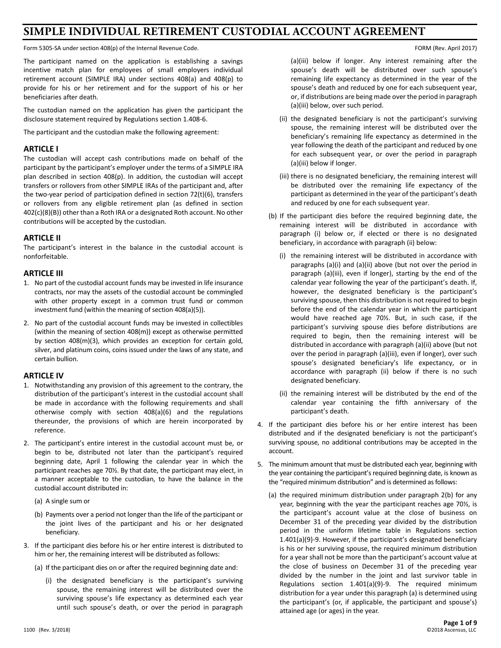# **SIMPLE INDIVIDUAL RETIREMENT CUSTODIAL ACCOUNT AGREEMENT**

Form 5305-SA under section 408(p) of the Internal Revenue Code. The Internal Revenue Code. Form the Internal Revenue Code.

The participant named on the application is establishing a savings incentive match plan for employees of small employers individual retirement account (SIMPLE IRA) under sections 408(a) and 408(p) to provide for his or her retirement and for the support of his or her beneficiaries after death.

The custodian named on the application has given the participant the disclosure statement required by Regulations section 1.408-6.

The participant and the custodian make the following agreement:

### **ARTICLE I**

The custodian will accept cash contributions made on behalf of the participant by the participant's employer under the terms of a SIMPLE IRA plan described in section 408(p). In addition, the custodian will accept transfers or rollovers from other SIMPLE IRAs of the participant and, after the two-year period of participation defined in section 72(t)(6), transfers or rollovers from any eligible retirement plan (as defined in section 402(c)(8)(B)) other than a Roth IRA or a designated Roth account. No other contributions will be accepted by the custodian.

# **ARTICLE II**

The participant's interest in the balance in the custodial account is nonforfeitable.

### **ARTICLE III**

- 1. No part of the custodial account funds may be invested in life insurance contracts, nor may the assets of the custodial account be commingled with other property except in a common trust fund or common investment fund (within the meaning of section 408(a)(5)).
- 2. No part of the custodial account funds may be invested in collectibles (within the meaning of section 408(m)) except as otherwise permitted by section 408(m)(3), which provides an exception for certain gold, silver, and platinum coins, coins issued under the laws of any state, and certain bullion.

### **ARTICLE IV**

- 1. Notwithstanding any provision of this agreement to the contrary, the distribution of the participant's interest in the custodial account shall be made in accordance with the following requirements and shall otherwise comply with section 408(a)(6) and the regulations thereunder, the provisions of which are herein incorporated by reference.
- 2. The participant's entire interest in the custodial account must be, or begin to be, distributed not later than the participant's required beginning date, April 1 following the calendar year in which the participant reaches age 70½. By that date, the participant may elect, in a manner acceptable to the custodian, to have the balance in the custodial account distributed in:
	- (a) A single sum or
	- (b) Payments over a period not longer than the life of the participant or the joint lives of the participant and his or her designated beneficiary.
- 3. If the participant dies before his or her entire interest is distributed to him or her, the remaining interest will be distributed as follows:
	- (a) If the participant dies on or after the required beginning date and:
		- (i) the designated beneficiary is the participant's surviving spouse, the remaining interest will be distributed over the surviving spouse's life expectancy as determined each year until such spouse's death, or over the period in paragraph

(a)(iii) below if longer. Any interest remaining after the spouse's death will be distributed over such spouse's remaining life expectancy as determined in the year of the spouse's death and reduced by one for each subsequent year, or, if distributions are being made over the period in paragraph (a)(iii) below, over such period.

- (ii) the designated beneficiary is not the participant's surviving spouse, the remaining interest will be distributed over the beneficiary's remaining life expectancy as determined in the year following the death of the participant and reduced by one for each subsequent year, or over the period in paragraph (a)(iii) below if longer.
- (iii) there is no designated beneficiary, the remaining interest will be distributed over the remaining life expectancy of the participant as determined in the year of the participant's death and reduced by one for each subsequent year.
- (b) If the participant dies before the required beginning date, the remaining interest will be distributed in accordance with paragraph (i) below or, if elected or there is no designated beneficiary, in accordance with paragraph (ii) below:
	- (i) the remaining interest will be distributed in accordance with paragraphs (a)(i) and (a)(ii) above (but not over the period in paragraph (a)(iii), even if longer), starting by the end of the calendar year following the year of the participant's death. If, however, the designated beneficiary is the participant's surviving spouse, then this distribution is not required to begin before the end of the calendar year in which the participant would have reached age 70½. But, in such case, if the participant's surviving spouse dies before distributions are required to begin, then the remaining interest will be distributed in accordance with paragraph (a)(ii) above (but not over the period in paragraph (a)(iii), even if longer), over such spouse's designated beneficiary's life expectancy, or in accordance with paragraph (ii) below if there is no such designated beneficiary.
	- (ii) the remaining interest will be distributed by the end of the calendar year containing the fifth anniversary of the participant's death.
- 4. If the participant dies before his or her entire interest has been distributed and if the designated beneficiary is not the participant's surviving spouse, no additional contributions may be accepted in the account.
- 5. The minimum amount that must be distributed each year, beginning with the year containing the participant's required beginning date, is known as the "required minimum distribution" and is determined as follows:
	- (a) the required minimum distribution under paragraph 2(b) for any year, beginning with the year the participant reaches age 70½, is the participant's account value at the close of business on December 31 of the preceding year divided by the distribution period in the uniform lifetime table in Regulations section 1.401(a)(9)-9. However, if the participant's designated beneficiary is his or her surviving spouse, the required minimum distribution for a year shall not be more than the participant's account value at the close of business on December 31 of the preceding year divided by the number in the joint and last survivor table in Regulations section 1.401(a)(9)-9. The required minimum distribution for a year under this paragraph (a) is determined using the participant's (or, if applicable, the participant and spouse's) attained age (or ages) in the year.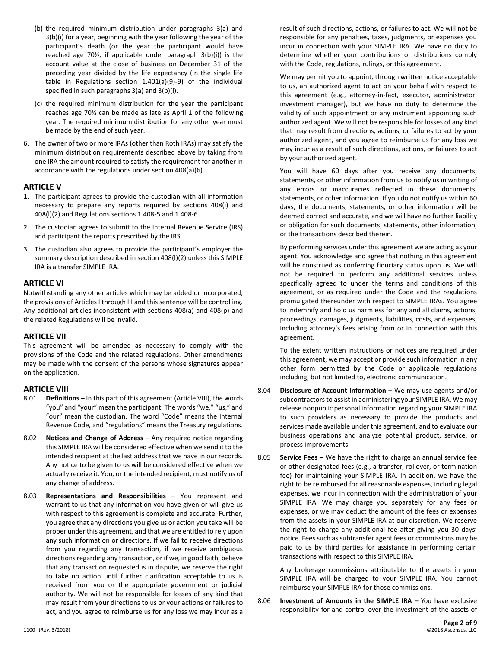- (b) the required minimum distribution under paragraphs 3(a) and 3(b)(i) for a year, beginning with the year following the year of the participant's death (or the year the participant would have reached age 70½, if applicable under paragraph 3(b)(i)) is the account value at the close of business on December 31 of the preceding year divided by the life expectancy (in the single life table in Regulations section 1.401(a)(9)-9) of the individual specified in such paragraphs 3(a) and 3(b)(i).
- (c) the required minimum distribution for the year the participant reaches age 70½ can be made as late as April 1 of the following year. The required minimum distribution for any other year must be made by the end of such year.
- 6. The owner of two or more IRAs (other than Roth IRAs) may satisfy the minimum distribution requirements described above by taking from one IRA the amount required to satisfy the requirement for another in accordance with the regulations under section 408(a)(6).

### **ARTICLE V**

- 1. The participant agrees to provide the custodian with all information necessary to prepare any reports required by sections 408(i) and 408(l)(2) and Regulations sections 1.408-5 and 1.408-6.
- 2. The custodian agrees to submit to the Internal Revenue Service (IRS) and participant the reports prescribed by the IRS.
- 3. The custodian also agrees to provide the participant's employer the summary description described in section 408(l)(2) unless this SIMPLE IRA is a transfer SIMPLE IRA.

### **ARTICLE VI**

Notwithstanding any other articles which may be added or incorporated, the provisions of Articles I through III and this sentence will be controlling. Any additional articles inconsistent with sections 408(a) and 408(p) and the related Regulations will be invalid.

### **ARTICLE VII**

This agreement will be amended as necessary to comply with the provisions of the Code and the related regulations. Other amendments may be made with the consent of the persons whose signatures appear on the application.

### **ARTICLE VIII**

- 8.01 **Definitions –** In this part of this agreement (Article VIII), the words "you" and "your" mean the participant. The words "we," "us," and "our" mean the custodian. The word "Code" means the Internal Revenue Code, and "regulations" means the Treasury regulations.
- 8.02 **Notices and Change of Address –** Any required notice regarding this SIMPLE IRA will be considered effective when we send it to the intended recipient at the last address that we have in our records. Any notice to be given to us will be considered effective when we actually receive it. You, or the intended recipient, must notify us of any change of address.
- 8.03 **Representations and Responsibilities –** You represent and warrant to us that any information you have given or will give us with respect to this agreement is complete and accurate. Further, you agree that any directions you give us or action you take will be proper under this agreement, and that we are entitled to rely upon any such information or directions. If we fail to receive directions from you regarding any transaction, if we receive ambiguous directions regarding any transaction, or if we, in good faith, believe that any transaction requested is in dispute, we reserve the right to take no action until further clarification acceptable to us is received from you or the appropriate government or judicial authority. We will not be responsible for losses of any kind that may result from your directions to us or your actions or failures to act, and you agree to reimburse us for any loss we may incur as a

result of such directions, actions, or failures to act. We will not be responsible for any penalties, taxes, judgments, or expenses you incur in connection with your SIMPLE IRA. We have no duty to determine whether your contributions or distributions comply with the Code, regulations, rulings, or this agreement.

We may permit you to appoint, through written notice acceptable to us, an authorized agent to act on your behalf with respect to this agreement (e.g., attorney-in-fact, executor, administrator, investment manager), but we have no duty to determine the validity of such appointment or any instrument appointing such authorized agent. We will not be responsible for losses of any kind that may result from directions, actions, or failures to act by your authorized agent, and you agree to reimburse us for any loss we may incur as a result of such directions, actions, or failures to act by your authorized agent.

You will have 60 days after you receive any documents, statements, or other information from us to notify us in writing of any errors or inaccuracies reflected in these documents, statements, or other information. If you do not notify us within 60 days, the documents, statements, or other information will be deemed correct and accurate, and we will have no further liability or obligation for such documents, statements, other information, or the transactions described therein.

By performing services under this agreement we are acting as your agent. You acknowledge and agree that nothing in this agreement will be construed as conferring fiduciary status upon us. We will not be required to perform any additional services unless specifically agreed to under the terms and conditions of this agreement, or as required under the Code and the regulations promulgated thereunder with respect to SIMPLE IRAs. You agree to indemnify and hold us harmless for any and all claims, actions, proceedings, damages, judgments, liabilities, costs, and expenses, including attorney's fees arising from or in connection with this agreement.

To the extent written instructions or notices are required under this agreement, we may accept or provide such information in any other form permitted by the Code or applicable regulations including, but not limited to, electronic communication.

- 8.04 **Disclosure of Account Information –** We may use agents and/or subcontractors to assist in administering your SIMPLE IRA. We may release nonpublic personal information regarding your SIMPLE IRA to such providers as necessary to provide the products and services made available under this agreement, and to evaluate our business operations and analyze potential product, service, or process improvements.
- 8.05 **Service Fees –** We have the right to charge an annual service fee or other designated fees (e.g., a transfer, rollover, or termination fee) for maintaining your SIMPLE IRA. In addition, we have the right to be reimbursed for all reasonable expenses, including legal expenses, we incur in connection with the administration of your SIMPLE IRA. We may charge you separately for any fees or expenses, or we may deduct the amount of the fees or expenses from the assets in your SIMPLE IRA at our discretion. We reserve the right to charge any additional fee after giving you 30 days' notice. Fees such as subtransfer agent fees or commissions may be paid to us by third parties for assistance in performing certain transactions with respect to this SIMPLE IRA.

Any brokerage commissions attributable to the assets in your SIMPLE IRA will be charged to your SIMPLE IRA. You cannot reimburse your SIMPLE IRA for those commissions.

8.06 **Investment of Amounts in the SIMPLE IRA –** You have exclusive responsibility for and control over the investment of the assets of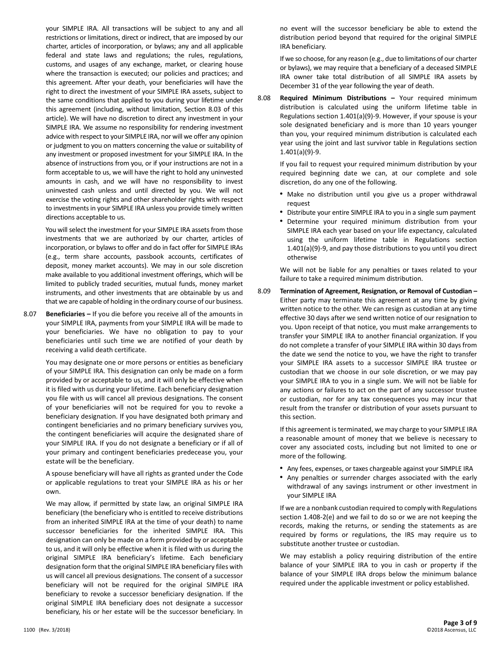your SIMPLE IRA. All transactions will be subject to any and all restrictions or limitations, direct or indirect, that are imposed by our charter, articles of incorporation, or bylaws; any and all applicable federal and state laws and regulations; the rules, regulations, customs, and usages of any exchange, market, or clearing house where the transaction is executed; our policies and practices; and this agreement. After your death, your beneficiaries will have the right to direct the investment of your SIMPLE IRA assets, subject to the same conditions that applied to you during your lifetime under this agreement (including, without limitation, Section 8.03 of this article). We will have no discretion to direct any investment in your SIMPLE IRA. We assume no responsibility for rendering investment advice with respect to your SIMPLE IRA, nor will we offer any opinion or judgment to you on matters concerning the value or suitability of any investment or proposed investment for your SIMPLE IRA. In the absence of instructions from you, or if your instructions are not in a form acceptable to us, we will have the right to hold any uninvested amounts in cash, and we will have no responsibility to invest uninvested cash unless and until directed by you. We will not exercise the voting rights and other shareholder rights with respect to investments in your SIMPLE IRA unless you provide timely written directions acceptable to us.

You will select the investment for your SIMPLE IRA assets from those investments that we are authorized by our charter, articles of incorporation, or bylaws to offer and do in fact offer for SIMPLE IRAs (e.g., term share accounts, passbook accounts, certificates of deposit, money market accounts). We may in our sole discretion make available to you additional investment offerings, which will be limited to publicly traded securities, mutual funds, money market instruments, and other investments that are obtainable by us and that we are capable of holding in the ordinary course of our business.

8.07 **Beneficiaries –** If you die before you receive all of the amounts in your SIMPLE IRA, payments from your SIMPLE IRA will be made to your beneficiaries. We have no obligation to pay to your beneficiaries until such time we are notified of your death by receiving a valid death certificate.

> You may designate one or more persons or entities as beneficiary of your SIMPLE IRA. This designation can only be made on a form provided by or acceptable to us, and it will only be effective when it is filed with us during your lifetime. Each beneficiary designation you file with us will cancel all previous designations. The consent of your beneficiaries will not be required for you to revoke a beneficiary designation. If you have designated both primary and contingent beneficiaries and no primary beneficiary survives you, the contingent beneficiaries will acquire the designated share of your SIMPLE IRA. If you do not designate a beneficiary or if all of your primary and contingent beneficiaries predecease you, your estate will be the beneficiary.

> A spouse beneficiary will have all rights as granted under the Code or applicable regulations to treat your SIMPLE IRA as his or her own.

> We may allow, if permitted by state law, an original SIMPLE IRA beneficiary (the beneficiary who is entitled to receive distributions from an inherited SIMPLE IRA at the time of your death) to name successor beneficiaries for the inherited SIMPLE IRA. This designation can only be made on a form provided by or acceptable to us, and it will only be effective when it is filed with us during the original SIMPLE IRA beneficiary's lifetime. Each beneficiary designation form that the original SIMPLE IRA beneficiary files with us will cancel all previous designations. The consent of a successor beneficiary will not be required for the original SIMPLE IRA beneficiary to revoke a successor beneficiary designation. If the original SIMPLE IRA beneficiary does not designate a successor beneficiary, his or her estate will be the successor beneficiary. In

no event will the successor beneficiary be able to extend the distribution period beyond that required for the original SIMPLE IRA beneficiary.

If we so choose, for any reason (e.g., due to limitations of our charter or bylaws), we may require that a beneficiary of a deceased SIMPLE IRA owner take total distribution of all SIMPLE IRA assets by December 31 of the year following the year of death.

8.08 **Required Minimum Distributions –** Your required minimum distribution is calculated using the uniform lifetime table in Regulations section 1.401(a)(9)-9. However, if your spouse is your sole designated beneficiary and is more than 10 years younger than you, your required minimum distribution is calculated each year using the joint and last survivor table in Regulations section 1.401(a)(9)-9.

> If you fail to request your required minimum distribution by your required beginning date we can, at our complete and sole discretion, do any one of the following.

- Make no distribution until you give us a proper withdrawal request
- Distribute your entire SIMPLE IRA to you in a single sum payment
- Determine your required minimum distribution from your SIMPLE IRA each year based on your life expectancy, calculated using the uniform lifetime table in Regulations section 1.401(a)(9)-9, and pay those distributions to you until you direct otherwise

We will not be liable for any penalties or taxes related to your failure to take a required minimum distribution.

8.09 **Termination of Agreement, Resignation, or Removal of Custodian –** Either party may terminate this agreement at any time by giving written notice to the other. We can resign as custodian at any time effective 30 days after we send written notice of our resignation to you. Upon receipt of that notice, you must make arrangements to transfer your SIMPLE IRA to another financial organization. If you do not complete a transfer of your SIMPLE IRA within 30 days from the date we send the notice to you, we have the right to transfer your SIMPLE IRA assets to a successor SIMPLE IRA trustee or custodian that we choose in our sole discretion, or we may pay your SIMPLE IRA to you in a single sum. We will not be liable for any actions or failures to act on the part of any successor trustee or custodian, nor for any tax consequences you may incur that result from the transfer or distribution of your assets pursuant to this section.

> If this agreement is terminated, we may charge to your SIMPLE IRA a reasonable amount of money that we believe is necessary to cover any associated costs, including but not limited to one or more of the following.

- Any fees, expenses, or taxes chargeable against your SIMPLE IRA
- Any penalties or surrender charges associated with the early withdrawal of any savings instrument or other investment in your SIMPLE IRA

If we are a nonbank custodian required to comply with Regulations section 1.408-2(e) and we fail to do so or we are not keeping the records, making the returns, or sending the statements as are required by forms or regulations, the IRS may require us to substitute another trustee or custodian.

We may establish a policy requiring distribution of the entire balance of your SIMPLE IRA to you in cash or property if the balance of your SIMPLE IRA drops below the minimum balance required under the applicable investment or policy established.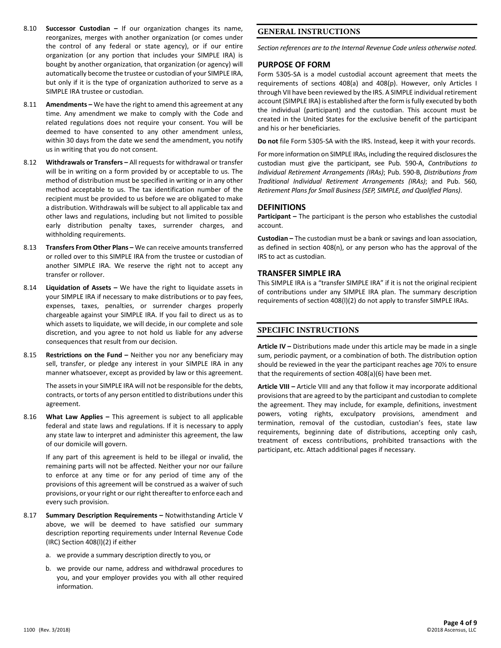- 8.10 **Successor Custodian –** If our organization changes its name, reorganizes, merges with another organization (or comes under the control of any federal or state agency), or if our entire organization (or any portion that includes your SIMPLE IRA) is bought by another organization, that organization (or agency) will automatically become the trustee or custodian of your SIMPLE IRA, but only if it is the type of organization authorized to serve as a SIMPLE IRA trustee or custodian.
- 8.11 **Amendments –** We have the right to amend this agreement at any time. Any amendment we make to comply with the Code and related regulations does not require your consent. You will be deemed to have consented to any other amendment unless, within 30 days from the date we send the amendment, you notify us in writing that you do not consent.
- 8.12 **Withdrawals or Transfers –** All requests for withdrawal or transfer will be in writing on a form provided by or acceptable to us. The method of distribution must be specified in writing or in any other method acceptable to us. The tax identification number of the recipient must be provided to us before we are obligated to make a distribution. Withdrawals will be subject to all applicable tax and other laws and regulations, including but not limited to possible early distribution penalty taxes, surrender charges, and withholding requirements.
- 8.13 **Transfers From Other Plans –** We can receive amounts transferred or rolled over to this SIMPLE IRA from the trustee or custodian of another SIMPLE IRA. We reserve the right not to accept any transfer or rollover.
- 8.14 **Liquidation of Assets –** We have the right to liquidate assets in your SIMPLE IRA if necessary to make distributions or to pay fees, expenses, taxes, penalties, or surrender charges properly chargeable against your SIMPLE IRA. If you fail to direct us as to which assets to liquidate, we will decide, in our complete and sole discretion, and you agree to not hold us liable for any adverse consequences that result from our decision.
- 8.15 **Restrictions on the Fund –** Neither you nor any beneficiary may sell, transfer, or pledge any interest in your SIMPLE IRA in any manner whatsoever, except as provided by law or this agreement.

The assets in your SIMPLE IRA will not be responsible for the debts, contracts, or torts of any person entitled to distributions under this agreement.

8.16 **What Law Applies –** This agreement is subject to all applicable federal and state laws and regulations. If it is necessary to apply any state law to interpret and administer this agreement, the law of our domicile will govern.

> If any part of this agreement is held to be illegal or invalid, the remaining parts will not be affected. Neither your nor our failure to enforce at any time or for any period of time any of the provisions of this agreement will be construed as a waiver of such provisions, or your right or our right thereafter to enforce each and every such provision.

- 8.17 **Summary Description Requirements –** Notwithstanding Article V above, we will be deemed to have satisfied our summary description reporting requirements under Internal Revenue Code (IRC) Section 408(l)(2) if either
	- a. we provide a summary description directly to you, or
	- b. we provide our name, address and withdrawal procedures to you, and your employer provides you with all other required information.

### **GENERAL INSTRUCTIONS**

*Section references are to the Internal Revenue Code unless otherwise noted.*

### **PURPOSE OF FORM**

Form 5305-SA is a model custodial account agreement that meets the requirements of sections 408(a) and 408(p). However, only Articles I through VII have been reviewed by the IRS. A SIMPLE individual retirement account (SIMPLE IRA) is established after the form is fully executed by both the individual (participant) and the custodian. This account must be created in the United States for the exclusive benefit of the participant and his or her beneficiaries.

**Do not** file Form 5305-SA with the IRS. Instead, keep it with your records.

For more information on SIMPLE IRAs, including the required disclosures the custodian must give the participant, see Pub. 590-A, *Contributions to Individual Retirement Arrangements (IRAs)*; Pub. 590-B, *Distributions from Traditional Individual Retirement Arrangements (IRAs)*; and Pub. 560, *Retirement Plans for Small Business (SEP, SIMPLE, and Qualified Plans)*.

### **DEFINITIONS**

**Participant –** The participant is the person who establishes the custodial account.

**Custodian –** The custodian must be a bank or savings and loan association, as defined in section 408(n), or any person who has the approval of the IRS to act as custodian.

#### **TRANSFER SIMPLE IRA**

This SIMPLE IRA is a "transfer SIMPLE IRA" if it is not the original recipient of contributions under any SIMPLE IRA plan. The summary description requirements of section 408(l)(2) do not apply to transfer SIMPLE IRAs.

### **SPECIFIC INSTRUCTIONS**

**Article IV –** Distributions made under this article may be made in a single sum, periodic payment, or a combination of both. The distribution option should be reviewed in the year the participant reaches age 70½ to ensure that the requirements of section 408(a)(6) have been met.

**Article VIII –** Article VIII and any that follow it may incorporate additional provisions that are agreed to by the participant and custodian to complete the agreement. They may include, for example, definitions, investment powers, voting rights, exculpatory provisions, amendment and termination, removal of the custodian, custodian's fees, state law requirements, beginning date of distributions, accepting only cash, treatment of excess contributions, prohibited transactions with the participant, etc. Attach additional pages if necessary.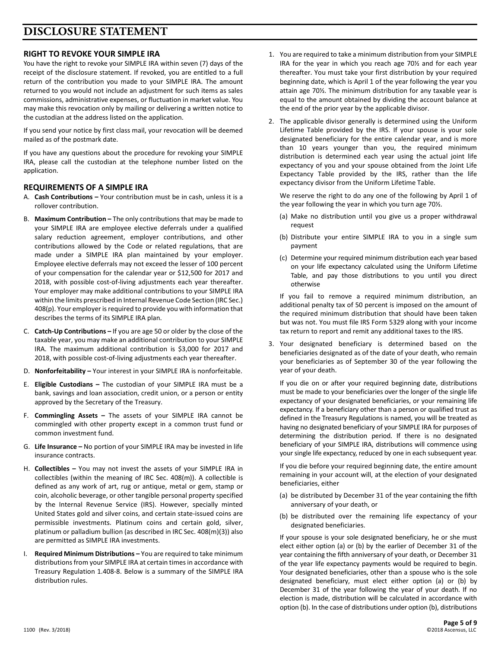# **DISCLOSURE STATEMENT**

# **RIGHT TO REVOKE YOUR SIMPLE IRA**

You have the right to revoke your SIMPLE IRA within seven (7) days of the receipt of the disclosure statement. If revoked, you are entitled to a full return of the contribution you made to your SIMPLE IRA. The amount returned to you would not include an adjustment for such items as sales commissions, administrative expenses, or fluctuation in market value. You may make this revocation only by mailing or delivering a written notice to the custodian at the address listed on the application.

If you send your notice by first class mail, your revocation will be deemed mailed as of the postmark date.

If you have any questions about the procedure for revoking your SIMPLE IRA, please call the custodian at the telephone number listed on the application.

### **REQUIREMENTS OF A SIMPLE IRA**

- A. **Cash Contributions –** Your contribution must be in cash, unless it is a rollover contribution.
- B. **Maximum Contribution –** The only contributions that may be made to your SIMPLE IRA are employee elective deferrals under a qualified salary reduction agreement, employer contributions, and other contributions allowed by the Code or related regulations, that are made under a SIMPLE IRA plan maintained by your employer. Employee elective deferrals may not exceed the lesser of 100 percent of your compensation for the calendar year or \$12,500 for 2017 and 2018, with possible cost-of-living adjustments each year thereafter. Your employer may make additional contributions to your SIMPLE IRA within the limits prescribed in Internal Revenue Code Section (IRC Sec.) 408(p). Your employer is required to provide you with information that describes the terms of its SIMPLE IRA plan.
- C. **Catch-Up Contributions –** If you are age 50 or older by the close of the taxable year, you may make an additional contribution to your SIMPLE IRA. The maximum additional contribution is \$3,000 for 2017 and 2018, with possible cost-of-living adjustments each year thereafter.
- D. **Nonforfeitability –** Your interest in your SIMPLE IRA is nonforfeitable.
- E. **Eligible Custodians –** The custodian of your SIMPLE IRA must be a bank, savings and loan association, credit union, or a person or entity approved by the Secretary of the Treasury.
- F. **Commingling Assets –** The assets of your SIMPLE IRA cannot be commingled with other property except in a common trust fund or common investment fund.
- G. **Life Insurance –** No portion of your SIMPLE IRA may be invested in life insurance contracts.
- H. **Collectibles –** You may not invest the assets of your SIMPLE IRA in collectibles (within the meaning of IRC Sec. 408(m)). A collectible is defined as any work of art, rug or antique, metal or gem, stamp or coin, alcoholic beverage, or other tangible personal property specified by the Internal Revenue Service (IRS). However, specially minted United States gold and silver coins, and certain state-issued coins are permissible investments. Platinum coins and certain gold, silver, platinum or palladium bullion (as described in IRC Sec. 408(m)(3)) also are permitted as SIMPLE IRA investments.
- I. **Required Minimum Distributions –** You are required to take minimum distributions from your SIMPLE IRA at certain times in accordance with Treasury Regulation 1.408-8. Below is a summary of the SIMPLE IRA distribution rules.
- 1. You are required to take a minimum distribution from your SIMPLE IRA for the year in which you reach age 70½ and for each year thereafter. You must take your first distribution by your required beginning date, which is April 1 of the year following the year you attain age 70½. The minimum distribution for any taxable year is equal to the amount obtained by dividing the account balance at the end of the prior year by the applicable divisor.
- 2. The applicable divisor generally is determined using the Uniform Lifetime Table provided by the IRS. If your spouse is your sole designated beneficiary for the entire calendar year, and is more than 10 years younger than you, the required minimum distribution is determined each year using the actual joint life expectancy of you and your spouse obtained from the Joint Life Expectancy Table provided by the IRS, rather than the life expectancy divisor from the Uniform Lifetime Table.

We reserve the right to do any one of the following by April 1 of the year following the year in which you turn age 70½.

- (a) Make no distribution until you give us a proper withdrawal request
- (b) Distribute your entire SIMPLE IRA to you in a single sum payment
- (c) Determine your required minimum distribution each year based on your life expectancy calculated using the Uniform Lifetime Table, and pay those distributions to you until you direct otherwise

If you fail to remove a required minimum distribution, an additional penalty tax of 50 percent is imposed on the amount of the required minimum distribution that should have been taken but was not. You must file IRS Form 5329 along with your income tax return to report and remit any additional taxes to the IRS.

3. Your designated beneficiary is determined based on the beneficiaries designated as of the date of your death, who remain your beneficiaries as of September 30 of the year following the year of your death.

If you die on or after your required beginning date, distributions must be made to your beneficiaries over the longer of the single life expectancy of your designated beneficiaries, or your remaining life expectancy. If a beneficiary other than a person or qualified trust as defined in the Treasury Regulations is named, you will be treated as having no designated beneficiary of your SIMPLE IRA for purposes of determining the distribution period. If there is no designated beneficiary of your SIMPLE IRA, distributions will commence using your single life expectancy, reduced by one in each subsequent year.

If you die before your required beginning date, the entire amount remaining in your account will, at the election of your designated beneficiaries, either

- (a) be distributed by December 31 of the year containing the fifth anniversary of your death, or
- (b) be distributed over the remaining life expectancy of your designated beneficiaries.

If your spouse is your sole designated beneficiary, he or she must elect either option (a) or (b) by the earlier of December 31 of the year containing the fifth anniversary of your death, or December 31 of the year life expectancy payments would be required to begin. Your designated beneficiaries, other than a spouse who is the sole designated beneficiary, must elect either option (a) or (b) by December 31 of the year following the year of your death. If no election is made, distribution will be calculated in accordance with option (b). In the case of distributions under option (b), distributions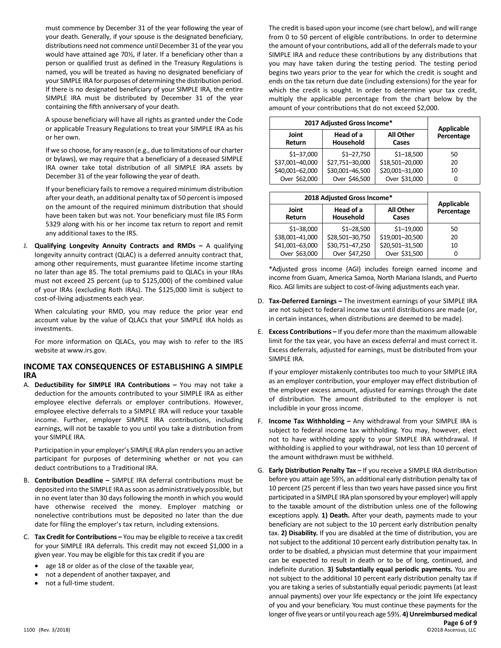must commence by December 31 of the year following the year of your death. Generally, if your spouse is the designated beneficiary, distributions need not commence until December 31 of the year you would have attained age 70½, if later. If a beneficiary other than a person or qualified trust as defined in the Treasury Regulations is named, you will be treated as having no designated beneficiary of your SIMPLE IRA for purposes of determining the distribution period. If there is no designated beneficiary of your SIMPLE IRA, the entire SIMPLE IRA must be distributed by December 31 of the year containing the fifth anniversary of your death.

A spouse beneficiary will have all rights as granted under the Code or applicable Treasury Regulations to treat your SIMPLE IRA as his or her own.

If we so choose, for any reason (e.g., due to limitations of our charter or bylaws), we may require that a beneficiary of a deceased SIMPLE IRA owner take total distribution of all SIMPLE IRA assets by December 31 of the year following the year of death.

If your beneficiary fails to remove a required minimum distribution after your death, an additional penalty tax of 50 percent is imposed on the amount of the required minimum distribution that should have been taken but was not. Your beneficiary must file IRS Form 5329 along with his or her income tax return to report and remit any additional taxes to the IRS.

J. **Qualifying Longevity Annuity Contracts and RMDs –** A qualifying longevity annuity contract (QLAC) is a deferred annuity contract that, among other requirements, must guarantee lifetime income starting no later than age 85. The total premiums paid to QLACs in your IRAs must not exceed 25 percent (up to \$125,000) of the combined value of your IRAs (excluding Roth IRAs). The \$125,000 limit is subject to cost-of-living adjustments each year.

When calculating your RMD, you may reduce the prior year end account value by the value of QLACs that your SIMPLE IRA holds as investments.

For more information on QLACs, you may wish to refer to the IRS website at www.irs.gov.

# **INCOME TAX CONSEQUENCES OF ESTABLISHING A SIMPLE IRA**

A. **Deductibility for SIMPLE IRA Contributions –** You may not take a deduction for the amounts contributed to your SIMPLE IRA as either employee elective deferrals or employer contributions. However, employee elective deferrals to a SIMPLE IRA will reduce your taxable income. Further, employer SIMPLE IRA contributions, including earnings, will not be taxable to you until you take a distribution from your SIMPLE IRA.

Participation in your employer's SIMPLE IRA plan renders you an active participant for purposes of determining whether or not you can deduct contributions to a Traditional IRA.

- B. **Contribution Deadline –** SIMPLE IRA deferral contributions must be deposited into the SIMPLE IRA as soon as administratively possible, but in no event later than 30 days following the month in which you would have otherwise received the money. Employer matching or nonelective contributions must be deposited no later than the due date for filing the employer's tax return, including extensions.
- C. **Tax Credit for Contributions –** You may be eligible to receive a tax credit for your SIMPLE IRA deferrals. This credit may not exceed \$1,000 in a given year. You may be eligible for this tax credit if you are
	- age 18 or older as of the close of the taxable year,
	- not a dependent of another taxpayer, and
	- not a full-time student.

The credit is based upon your income (see chart below), and will range from 0 to 50 percent of eligible contributions. In order to determine the amount of your contributions, add all of the deferrals made to your SIMPLE IRA and reduce these contributions by any distributions that you may have taken during the testing period. The testing period begins two years prior to the year for which the credit is sought and ends on the tax return due date (including extensions) for the year for which the credit is sought. In order to determine your tax credit, multiply the applicable percentage from the chart below by the amount of your contributions that do not exceed \$2,000.

| 2017 Adjusted Gross Income* | <b>Applicable</b>      |                           |            |
|-----------------------------|------------------------|---------------------------|------------|
| Joint<br><b>Return</b>      | Head of a<br>Household | <b>All Other</b><br>Cases | Percentage |
| $$1 - 37,000$               | $$1 - 27,750$          | $$1 - 18,500$             | 50         |
| \$37,001-40,000             | \$27,751-30,000        | \$18,501-20,000           | 20         |
| \$40,001-62,000             | \$30,001-46,500        | \$20,001-31,000           | 10         |
| Over \$62,000               | Over \$46,500          | Over \$31,000             |            |

| 2018 Adjusted Gross Income* | <b>Applicable</b>      |                           |            |
|-----------------------------|------------------------|---------------------------|------------|
| Joint<br><b>Return</b>      | Head of a<br>Household | <b>All Other</b><br>Cases | Percentage |
| $$1 - 38,000$               | $$1 - 28,500$          | $$1 - 19,000$             | 50         |
| \$38,001-41,000             | \$28,501-30,750        | \$19,001-20,500           | 20         |
| \$41,001-63,000             | \$30,751-47,250        | \$20,501-31,500           | 10         |
| Over \$63,000               | Over \$47,250          | Over \$31,500             | 0          |

\*Adjusted gross income (AGI) includes foreign earned income and income from Guam, America Samoa, North Mariana Islands, and Puerto Rico. AGI limits are subject to cost-of-living adjustments each year.

- D. **Tax-Deferred Earnings –** The investment earnings of your SIMPLE IRA are not subject to federal income tax until distributions are made (or, in certain instances, when distributions are deemed to be made).
- E. **Excess Contributions –** If you defer more than the maximum allowable limit for the tax year, you have an excess deferral and must correct it. Excess deferrals, adjusted for earnings, must be distributed from your SIMPLE IRA.

If your employer mistakenly contributes too much to your SIMPLE IRA as an employer contribution, your employer may effect distribution of the employer excess amount, adjusted for earnings through the date of distribution. The amount distributed to the employer is not includible in your gross income.

- F. **Income Tax Withholding –** Any withdrawal from your SIMPLE IRA is subject to federal income tax withholding. You may, however, elect not to have withholding apply to your SIMPLE IRA withdrawal. If withholding is applied to your withdrawal, not less than 10 percent of the amount withdrawn must be withheld.
- **Page 6 of 9** G. **Early Distribution Penalty Tax –** If you receive a SIMPLE IRA distribution before you attain age 59½, an additional early distribution penalty tax of 10 percent (25 percent if less than two years have passed since you first participated in a SIMPLE IRA plan sponsored by your employer) will apply to the taxable amount of the distribution unless one of the following exceptions apply. **1) Death.** After your death, payments made to your beneficiary are not subject to the 10 percent early distribution penalty tax. **2) Disability.** If you are disabled at the time of distribution, you are not subject to the additional 10 percent early distribution penalty tax. In order to be disabled, a physician must determine that your impairment can be expected to result in death or to be of long, continued, and indefinite duration. **3) Substantially equal periodic payments.** You are not subject to the additional 10 percent early distribution penalty tax if you are taking a series of substantially equal periodic payments (at least annual payments) over your life expectancy or the joint life expectancy of you and your beneficiary. You must continue these payments for the longer of five years or until you reach age 59½. **4) Unreimbursed medical**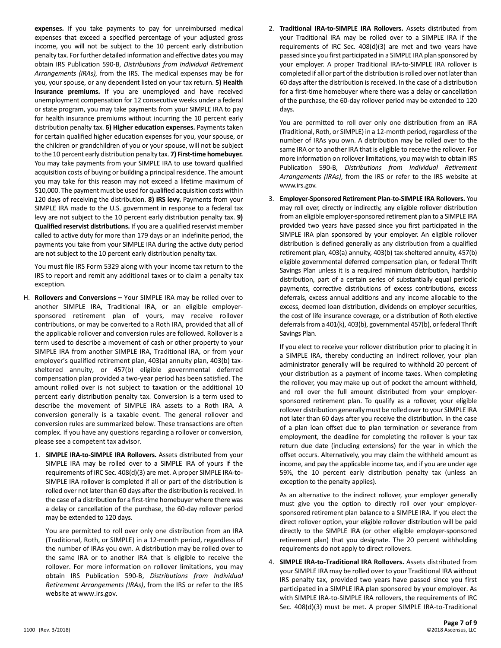**expenses.** If you take payments to pay for unreimbursed medical expenses that exceed a specified percentage of your adjusted gross income, you will not be subject to the 10 percent early distribution penalty tax. For further detailed information and effective dates you may obtain IRS Publication 590-B, *Distributions from Individual Retirement Arrangements (IRAs),* from the IRS. The medical expenses may be for you, your spouse, or any dependent listed on your tax return. **5) Health insurance premiums.** If you are unemployed and have received unemployment compensation for 12 consecutive weeks under a federal or state program, you may take payments from your SIMPLE IRA to pay for health insurance premiums without incurring the 10 percent early distribution penalty tax. **6) Higher education expenses.** Payments taken for certain qualified higher education expenses for you, your spouse, or the children or grandchildren of you or your spouse, will not be subject to the 10 percent early distribution penalty tax. **7) First-time homebuyer.** You may take payments from your SIMPLE IRA to use toward qualified acquisition costs of buying or building a principal residence. The amount you may take for this reason may not exceed a lifetime maximum of \$10,000. The payment must be used for qualified acquisition costs within 120 days of receiving the distribution. **8) IRS levy.** Payments from your SIMPLE IRA made to the U.S. government in response to a federal tax levy are not subject to the 10 percent early distribution penalty tax. **9) Qualified reservist distributions.** If you are a qualified reservist member called to active duty for more than 179 days or an indefinite period, the payments you take from your SIMPLE IRA during the active duty period are not subject to the 10 percent early distribution penalty tax.

You must file IRS Form 5329 along with your income tax return to the IRS to report and remit any additional taxes or to claim a penalty tax exception.

- H. **Rollovers and Conversions –** Your SIMPLE IRA may be rolled over to another SIMPLE IRA, Traditional IRA, or an eligible employersponsored retirement plan of yours, may receive rollover contributions, or may be converted to a Roth IRA, provided that all of the applicable rollover and conversion rules are followed. Rollover is a term used to describe a movement of cash or other property to your SIMPLE IRA from another SIMPLE IRA, Traditional IRA, or from your employer's qualified retirement plan, 403(a) annuity plan, 403(b) taxsheltered annuity, or 457(b) eligible governmental deferred compensation plan provided a two-year period has been satisfied. The amount rolled over is not subject to taxation or the additional 10 percent early distribution penalty tax. Conversion is a term used to describe the movement of SIMPLE IRA assets to a Roth IRA. A conversion generally is a taxable event. The general rollover and conversion rules are summarized below. These transactions are often complex. If you have any questions regarding a rollover or conversion, please see a competent tax advisor.
	- 1. **SIMPLE IRA-to-SIMPLE IRA Rollovers.** Assets distributed from your SIMPLE IRA may be rolled over to a SIMPLE IRA of yours if the requirements of IRC Sec. 408(d)(3) are met. A proper SIMPLE IRA-to-SIMPLE IRA rollover is completed if all or part of the distribution is rolled over not later than 60 days after the distribution is received. In the case of a distribution for a first-time homebuyer where there was a delay or cancellation of the purchase, the 60-day rollover period may be extended to 120 days.

You are permitted to roll over only one distribution from an IRA (Traditional, Roth, or SIMPLE) in a 12-month period, regardless of the number of IRAs you own. A distribution may be rolled over to the same IRA or to another IRA that is eligible to receive the rollover. For more information on rollover limitations, you may obtain IRS Publication 590-B, *Distributions from Individual Retirement Arrangements (IRAs)*, from the IRS or refer to the IRS website at www.irs.gov.

2. **Traditional IRA-to-SIMPLE IRA Rollovers.** Assets distributed from your Traditional IRA may be rolled over to a SIMPLE IRA if the requirements of IRC Sec. 408(d)(3) are met and two years have passed since you first participated in a SIMPLE IRA plan sponsored by your employer. A proper Traditional IRA-to-SIMPLE IRA rollover is completed if all or part of the distribution is rolled over not later than 60 days after the distribution is received. In the case of a distribution for a first-time homebuyer where there was a delay or cancellation of the purchase, the 60-day rollover period may be extended to 120 days.

You are permitted to roll over only one distribution from an IRA (Traditional, Roth, or SIMPLE) in a 12-month period, regardless of the number of IRAs you own. A distribution may be rolled over to the same IRA or to another IRA that is eligible to receive the rollover. For more information on rollover limitations, you may wish to obtain IRS Publication 590-B, *Distributions from Individual Retirement Arrangements (IRAs)*, from the IRS or refer to the IRS website at www.irs.gov.

3. **Employer-Sponsored Retirement Plan-to-SIMPLE IRA Rollovers.** You may roll over, directly or indirectly, any eligible rollover distribution from an eligible employer-sponsored retirement plan to a SIMPLE IRA provided two years have passed since you first participated in the SIMPLE IRA plan sponsored by your employer. An eligible rollover distribution is defined generally as any distribution from a qualified retirement plan, 403(a) annuity, 403(b) tax-sheltered annuity, 457(b) eligible governmental deferred compensation plan, or federal Thrift Savings Plan unless it is a required minimum distribution, hardship distribution, part of a certain series of substantially equal periodic payments, corrective distributions of excess contributions, excess deferrals, excess annual additions and any income allocable to the excess, deemed loan distribution, dividends on employer securities, the cost of life insurance coverage, or a distribution of Roth elective deferrals from a 401(k), 403(b), governmental 457(b), or federal Thrift Savings Plan.

If you elect to receive your rollover distribution prior to placing it in a SIMPLE IRA, thereby conducting an indirect rollover, your plan administrator generally will be required to withhold 20 percent of your distribution as a payment of income taxes. When completing the rollover, you may make up out of pocket the amount withheld, and roll over the full amount distributed from your employersponsored retirement plan. To qualify as a rollover, your eligible rollover distribution generally must be rolled over to your SIMPLE IRA not later than 60 days after you receive the distribution. In the case of a plan loan offset due to plan termination or severance from employment, the deadline for completing the rollover is your tax return due date (including extensions) for the year in which the offset occurs. Alternatively, you may claim the withheld amount as income, and pay the applicable income tax, and if you are under age 59½, the 10 percent early distribution penalty tax (unless an exception to the penalty applies).

As an alternative to the indirect rollover, your employer generally must give you the option to directly roll over your employersponsored retirement plan balance to a SIMPLE IRA. If you elect the direct rollover option, your eligible rollover distribution will be paid directly to the SIMPLE IRA (or other eligible employer-sponsored retirement plan) that you designate. The 20 percent withholding requirements do not apply to direct rollovers.

4. **SIMPLE IRA-to-Traditional IRA Rollovers.** Assets distributed from your SIMPLE IRA may be rolled over to your Traditional IRA without IRS penalty tax, provided two years have passed since you first participated in a SIMPLE IRA plan sponsored by your employer. As with SIMPLE IRA-to-SIMPLE IRA rollovers, the requirements of IRC Sec. 408(d)(3) must be met. A proper SIMPLE IRA-to-Traditional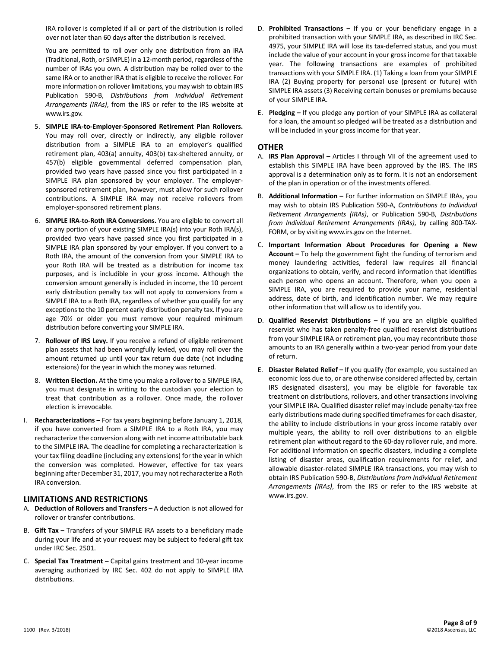IRA rollover is completed if all or part of the distribution is rolled over not later than 60 days after the distribution is received.

You are permitted to roll over only one distribution from an IRA (Traditional, Roth, or SIMPLE) in a 12-month period, regardless of the number of IRAs you own. A distribution may be rolled over to the same IRA or to another IRA that is eligible to receive the rollover. For more information on rollover limitations, you may wish to obtain IRS Publication 590-B, *Distributions from Individual Retirement Arrangements (IRAs)*, from the IRS or refer to the IRS website at www.irs.gov.

- 5. **SIMPLE IRA-to-Employer-Sponsored Retirement Plan Rollovers.**  You may roll over, directly or indirectly, any eligible rollover distribution from a SIMPLE IRA to an employer's qualified retirement plan, 403(a) annuity, 403(b) tax-sheltered annuity, or 457(b) eligible governmental deferred compensation plan, provided two years have passed since you first participated in a SIMPLE IRA plan sponsored by your employer. The employersponsored retirement plan, however, must allow for such rollover contributions. A SIMPLE IRA may not receive rollovers from employer-sponsored retirement plans.
- 6. **SIMPLE IRA-to-Roth IRA Conversions.** You are eligible to convert all or any portion of your existing SIMPLE IRA(s) into your Roth IRA(s), provided two years have passed since you first participated in a SIMPLE IRA plan sponsored by your employer. If you convert to a Roth IRA, the amount of the conversion from your SIMPLE IRA to your Roth IRA will be treated as a distribution for income tax purposes, and is includible in your gross income. Although the conversion amount generally is included in income, the 10 percent early distribution penalty tax will not apply to conversions from a SIMPLE IRA to a Roth IRA, regardless of whether you qualify for any exceptions to the 10 percent early distribution penalty tax. If you are age 70½ or older you must remove your required minimum distribution before converting your SIMPLE IRA.
- 7. **Rollover of IRS Levy.** If you receive a refund of eligible retirement plan assets that had been wrongfully levied, you may roll over the amount returned up until your tax return due date (not including extensions) for the year in which the money was returned.
- 8. **Written Election.** At the time you make a rollover to a SIMPLE IRA, you must designate in writing to the custodian your election to treat that contribution as a rollover. Once made, the rollover election is irrevocable.
- I. **Recharacterizations –** For tax years beginning before January 1, 2018, if you have converted from a SIMPLE IRA to a Roth IRA, you may recharacterize the conversion along with net income attributable back to the SIMPLE IRA. The deadline for completing a recharacterization is your tax filing deadline (including any extensions) for the year in which the conversion was completed. However, effective for tax years beginning after December 31, 2017, you may not recharacterize a Roth IRA conversion.

# **LIMITATIONS AND RESTRICTIONS**

- A. **Deduction of Rollovers and Transfers –** A deduction is not allowed for rollover or transfer contributions.
- B. **Gift Tax –** Transfers of your SIMPLE IRA assets to a beneficiary made during your life and at your request may be subject to federal gift tax under IRC Sec. 2501.
- C. **Special Tax Treatment –** Capital gains treatment and 10-year income averaging authorized by IRC Sec. 402 do not apply to SIMPLE IRA distributions.
- D. **Prohibited Transactions –** If you or your beneficiary engage in a prohibited transaction with your SIMPLE IRA, as described in IRC Sec. 4975, your SIMPLE IRA will lose its tax-deferred status, and you must include the value of your account in your gross income for that taxable year. The following transactions are examples of prohibited transactions with your SIMPLE IRA. (1) Taking a loan from your SIMPLE IRA (2) Buying property for personal use (present or future) with SIMPLE IRA assets (3) Receiving certain bonuses or premiums because of your SIMPLE IRA.
- E. **Pledging –** If you pledge any portion of your SIMPLE IRA as collateral for a loan, the amount so pledged will be treated as a distribution and will be included in your gross income for that year.

### **OTHER**

- A. **IRS Plan Approval –** Articles I through VII of the agreement used to establish this SIMPLE IRA have been approved by the IRS. The IRS approval is a determination only as to form. It is not an endorsement of the plan in operation or of the investments offered.
- B. **Additional Information –** For further information on SIMPLE IRAs, you may wish to obtain IRS Publication 590-A, *Contributions to Individual Retirement Arrangements (IRAs)*, or Publication 590-B, *Distributions from Individual Retirement Arrangements (IRAs)*, by calling 800-TAX-FORM, or by visiting www.irs.gov on the Internet.
- C. **Important Information About Procedures for Opening a New Account –** To help the government fight the funding of terrorism and money laundering activities, federal law requires all financial organizations to obtain, verify, and record information that identifies each person who opens an account. Therefore, when you open a SIMPLE IRA, you are required to provide your name, residential address, date of birth, and identification number. We may require other information that will allow us to identify you.
- D. **Qualified Reservist Distributions –** If you are an eligible qualified reservist who has taken penalty-free qualified reservist distributions from your SIMPLE IRA or retirement plan, you may recontribute those amounts to an IRA generally within a two-year period from your date of return.
- E. **Disaster Related Relief –** If you qualify (for example, you sustained an economic loss due to, or are otherwise considered affected by, certain IRS designated disasters), you may be eligible for favorable tax treatment on distributions, rollovers, and other transactions involving your SIMPLE IRA. Qualified disaster relief may include penalty-tax free early distributions made during specified timeframes for each disaster, the ability to include distributions in your gross income ratably over multiple years, the ability to roll over distributions to an eligible retirement plan without regard to the 60-day rollover rule, and more. For additional information on specific disasters, including a complete listing of disaster areas, qualification requirements for relief, and allowable disaster-related SIMPLE IRA transactions, you may wish to obtain IRS Publication 590-B, *Distributions from Individual Retirement Arrangements (IRAs)*, from the IRS or refer to the IRS website at www.irs.gov.